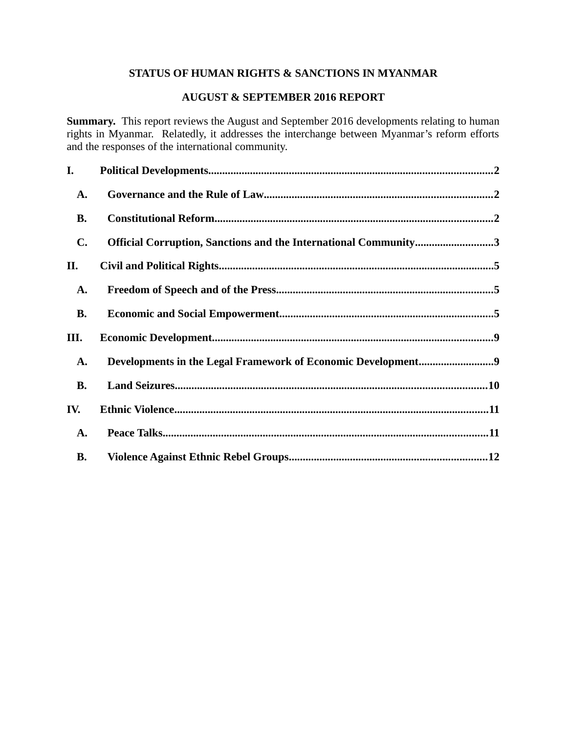# **STATUS OF HUMAN RIGHTS & SANCTIONS IN MYANMAR**

# **AUGUST & SEPTEMBER 2016 REPORT**

**Summary.** This report reviews the August and September 2016 developments relating to human rights in Myanmar. Relatedly, it addresses the interchange between Myanmar's reform efforts and the responses of the international community.

| I.             |                                                                 |
|----------------|-----------------------------------------------------------------|
| A.             |                                                                 |
| <b>B.</b>      |                                                                 |
| $\mathbf{C}$ . | Official Corruption, Sanctions and the International Community3 |
| II.            |                                                                 |
| A.             |                                                                 |
| <b>B.</b>      |                                                                 |
| III.           |                                                                 |
| A.             |                                                                 |
| <b>B.</b>      |                                                                 |
| IV.            |                                                                 |
| A.             |                                                                 |
| <b>B.</b>      |                                                                 |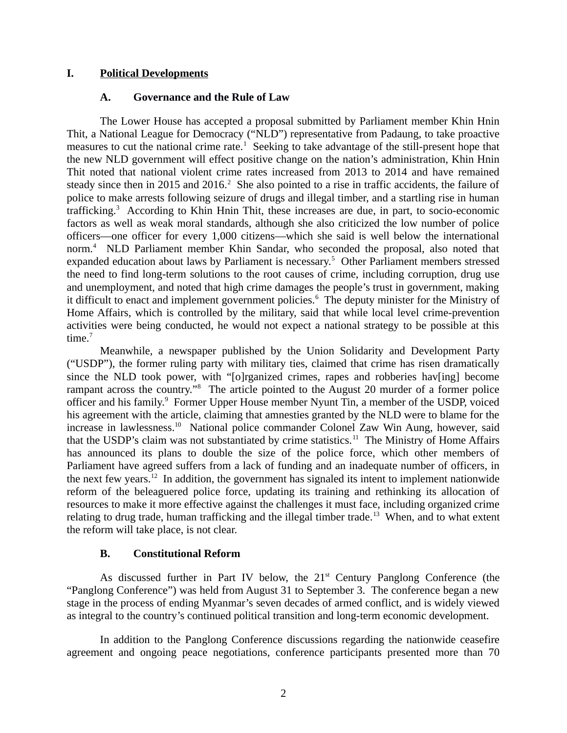## **I. Political Developments**

## <span id="page-1-2"></span><span id="page-1-1"></span>**A. Governance and the Rule of Law**

The Lower House has accepted a proposal submitted by Parliament member Khin Hnin Thit, a National League for Democracy ("NLD") representative from Padaung, to take proactive measures to cut the national crime rate.<sup>1</sup> Seeking to take advantage of the still-present hope that the new NLD government will effect positive change on the nation's administration, Khin Hnin Thit noted that national violent crime rates increased from 2013 to 2014 and have remained steady since then in 2015 and 2016.<sup>2</sup> She also pointed to a rise in traffic accidents, the failure of police to make arrests following seizure of drugs and illegal timber, and a startling rise in human trafficking.<sup>3</sup> According to Khin Hnin Thit, these increases are due, in part, to socio-economic factors as well as weak moral standards, although she also criticized the low number of police officers—one officer for every 1,000 citizens—which she said is well below the international norm.<sup>4</sup> NLD Parliament member Khin Sandar, who seconded the proposal, also noted that expanded education about laws by Parliament is necessary.<sup>5</sup> Other Parliament members stressed the need to find long-term solutions to the root causes of crime, including corruption, drug use and unemployment, and noted that high crime damages the people's trust in government, making it difficult to enact and implement government policies.<sup>6</sup> The deputy minister for the Ministry of Home Affairs, which is controlled by the military, said that while local level crime-prevention activities were being conducted, he would not expect a national strategy to be possible at this time. $7$ 

Meanwhile, a newspaper published by the Union Solidarity and Development Party ("USDP"), the former ruling party with military ties, claimed that crime has risen dramatically since the NLD took power, with "[o]rganized crimes, rapes and robberies hav[ing] become rampant across the country."<sup>8</sup> The article pointed to the August 20 murder of a former police officer and his family.<sup>9</sup> Former Upper House member Nyunt Tin, a member of the USDP, voiced his agreement with the article, claiming that amnesties granted by the NLD were to blame for the increase in lawlessness.<sup>10</sup> National police commander Colonel Zaw Win Aung, however, said that the USDP's claim was not substantiated by crime statistics.<sup>11</sup> The Ministry of Home Affairs has announced its plans to double the size of the police force, which other members of Parliament have agreed suffers from a lack of funding and an inadequate number of officers, in the next few years.<sup>12</sup> In addition, the government has signaled its intent to implement nationwide reform of the beleaguered police force, updating its training and rethinking its allocation of resources to make it more effective against the challenges it must face, including organized crime relating to drug trade, human trafficking and the illegal timber trade.<sup>13</sup> When, and to what extent the reform will take place, is not clear.

## <span id="page-1-0"></span>**B. Constitutional Reform**

As discussed further in Part IV below, the  $21<sup>st</sup>$  Century Panglong Conference (the "Panglong Conference") was held from August 31 to September 3. The conference began a new stage in the process of ending Myanmar's seven decades of armed conflict, and is widely viewed as integral to the country's continued political transition and long-term economic development.

In addition to the Panglong Conference discussions regarding the nationwide ceasefire agreement and ongoing peace negotiations, conference participants presented more than 70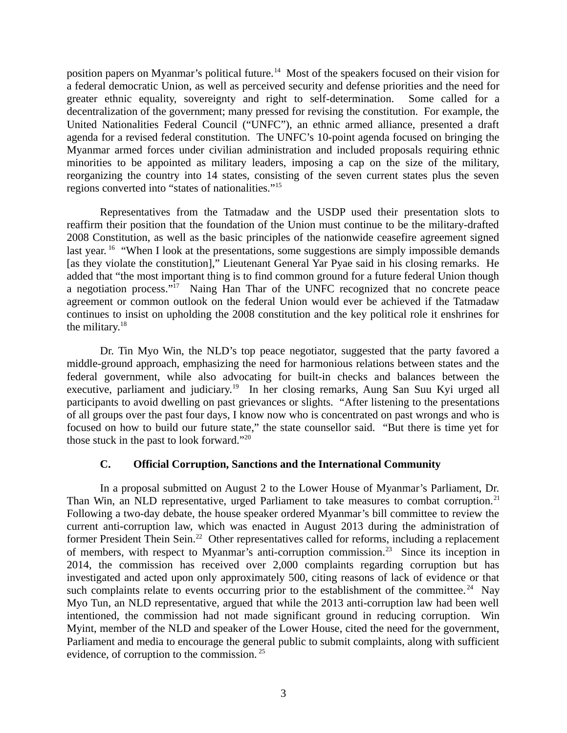position papers on Myanmar's political future.<sup>14</sup> Most of the speakers focused on their vision for a federal democratic Union, as well as perceived security and defense priorities and the need for greater ethnic equality, sovereignty and right to self-determination. Some called for a decentralization of the government; many pressed for revising the constitution. For example, the United Nationalities Federal Council ("UNFC"), an ethnic armed alliance, presented a draft agenda for a revised federal constitution. The UNFC's 10-point agenda focused on bringing the Myanmar armed forces under civilian administration and included proposals requiring ethnic minorities to be appointed as military leaders, imposing a cap on the size of the military, reorganizing the country into 14 states, consisting of the seven current states plus the seven regions converted into "states of nationalities."<sup>15</sup>

Representatives from the Tatmadaw and the USDP used their presentation slots to reaffirm their position that the foundation of the Union must continue to be the military-drafted 2008 Constitution, as well as the basic principles of the nationwide ceasefire agreement signed last year.  $16$  "When I look at the presentations, some suggestions are simply impossible demands [as they violate the constitution]," Lieutenant General Yar Pyae said in his closing remarks. He added that "the most important thing is to find common ground for a future federal Union though a negotiation process." $17$  Naing Han Thar of the UNFC recognized that no concrete peace agreement or common outlook on the federal Union would ever be achieved if the Tatmadaw continues to insist on upholding the 2008 constitution and the key political role it enshrines for the military. $18$ 

Dr. Tin Myo Win, the NLD's top peace negotiator, suggested that the party favored a middle-ground approach, emphasizing the need for harmonious relations between states and the federal government, while also advocating for built-in checks and balances between the executive, parliament and judiciary.<sup>19</sup> In her closing remarks, Aung San Suu Kyi urged all participants to avoid dwelling on past grievances or slights. "After listening to the presentations of all groups over the past four days, I know now who is concentrated on past wrongs and who is focused on how to build our future state," the state counsellor said. "But there is time yet for those stuck in the past to look forward."<sup>20</sup>

## <span id="page-2-0"></span>**C. Official Corruption, Sanctions and the International Community**

In a proposal submitted on August 2 to the Lower House of Myanmar's Parliament, Dr. Than Win, an NLD representative, urged Parliament to take measures to combat corruption.<sup>21</sup> Following a two-day debate, the house speaker ordered Myanmar's bill committee to review the current anti-corruption law, which was enacted in August 2013 during the administration of former President Thein Sein.<sup>22</sup> Other representatives called for reforms, including a replacement of members, with respect to Myanmar's anti-corruption commission.<sup>23</sup> Since its inception in 2014, the commission has received over 2,000 complaints regarding corruption but has investigated and acted upon only approximately 500, citing reasons of lack of evidence or that such complaints relate to events occurring prior to the establishment of the committee.<sup>24</sup> Nay Myo Tun, an NLD representative, argued that while the 2013 anti-corruption law had been well intentioned, the commission had not made significant ground in reducing corruption. Win Myint, member of the NLD and speaker of the Lower House, cited the need for the government, Parliament and media to encourage the general public to submit complaints, along with sufficient evidence, of corruption to the commission. <sup>25</sup>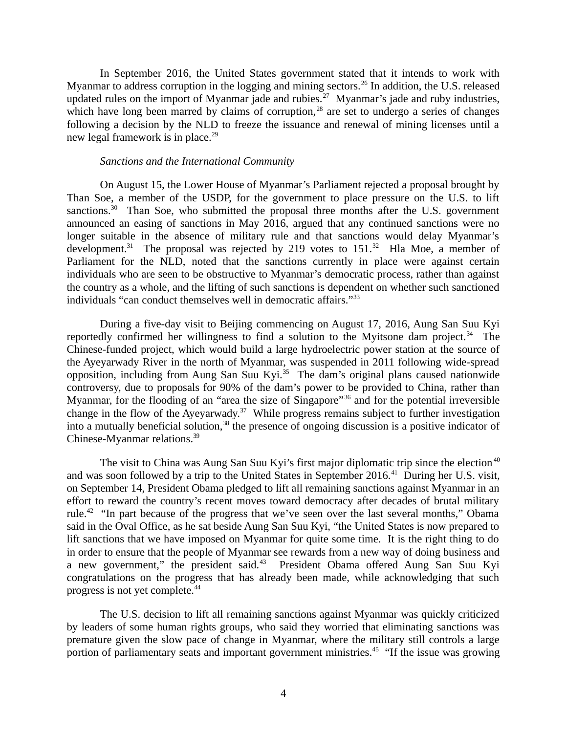In September 2016, the United States government stated that it intends to work with Myanmar to address corruption in the logging and mining sectors.<sup>26</sup> In addition, the U.S. released updated rules on the import of Myanmar jade and rubies.<sup>27</sup> Myanmar's jade and ruby industries, which have long been marred by claims of corruption, $28$  are set to undergo a series of changes following a decision by the NLD to freeze the issuance and renewal of mining licenses until a new legal framework is in place. $29$ 

#### *Sanctions and the International Community*

On August 15, the Lower House of Myanmar's Parliament rejected a proposal brought by Than Soe, a member of the USDP, for the government to place pressure on the U.S. to lift sanctions.<sup>30</sup> Than Soe, who submitted the proposal three months after the U.S. government announced an easing of sanctions in May 2016, argued that any continued sanctions were no longer suitable in the absence of military rule and that sanctions would delay Myanmar's development.<sup>31</sup> The proposal was rejected by 219 votes to  $151<sup>32</sup>$  Hla Moe, a member of Parliament for the NLD, noted that the sanctions currently in place were against certain individuals who are seen to be obstructive to Myanmar's democratic process, rather than against the country as a whole, and the lifting of such sanctions is dependent on whether such sanctioned individuals "can conduct themselves well in democratic affairs."<sup>33</sup>

During a five-day visit to Beijing commencing on August 17, 2016, Aung San Suu Kyi reportedly confirmed her willingness to find a solution to the Myitsone dam project.<sup>34</sup> The Chinese-funded project, which would build a large hydroelectric power station at the source of the Ayeyarwady River in the north of Myanmar, was suspended in 2011 following wide-spread opposition, including from Aung San Suu Kyi. $35$  The dam's original plans caused nationwide controversy, due to proposals for 90% of the dam's power to be provided to China, rather than Myanmar, for the flooding of an "area the size of Singapore"<sup>36</sup> and for the potential irreversible change in the flow of the Ayeyarwady.<sup>37</sup> While progress remains subject to further investigation into a mutually beneficial solution,<sup>38</sup> the presence of ongoing discussion is a positive indicator of Chinese-Myanmar relations.<sup>39</sup>

The visit to China was Aung San Suu Kyi's first major diplomatic trip since the election<sup>40</sup> and was soon followed by a trip to the United States in September 2016.<sup>41</sup> During her U.S. visit, on September 14, President Obama pledged to lift all remaining sanctions against Myanmar in an effort to reward the country's recent moves toward democracy after decades of brutal military rule.<sup>42</sup> "In part because of the progress that we've seen over the last several months," Obama said in the Oval Office, as he sat beside Aung San Suu Kyi, "the United States is now prepared to lift sanctions that we have imposed on Myanmar for quite some time. It is the right thing to do in order to ensure that the people of Myanmar see rewards from a new way of doing business and a new government," the president said. $43$  President Obama offered Aung San Suu Kyi congratulations on the progress that has already been made, while acknowledging that such progress is not yet complete.<sup>44</sup>

The U.S. decision to lift all remaining sanctions against Myanmar was quickly criticized by leaders of some human rights groups, who said they worried that eliminating sanctions was premature given the slow pace of change in Myanmar, where the military still controls a large portion of parliamentary seats and important government ministries.<sup>45</sup> "If the issue was growing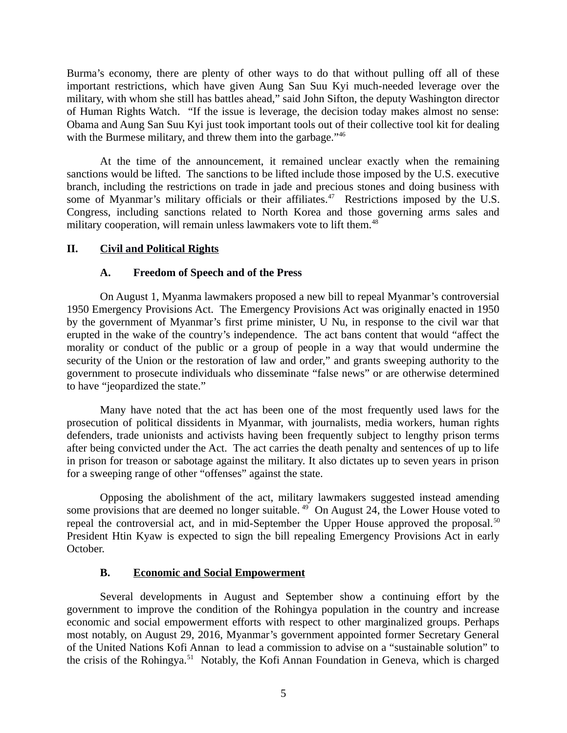Burma's economy, there are plenty of other ways to do that without pulling off all of these important restrictions, which have given Aung San Suu Kyi much-needed leverage over the military, with whom she still has battles ahead," said John Sifton, the deputy Washington director of Human Rights Watch. "If the issue is leverage, the decision today makes almost no sense: Obama and Aung San Suu Kyi just took important tools out of their collective tool kit for dealing with the Burmese military, and threw them into the garbage."<sup>46</sup>

At the time of the announcement, it remained unclear exactly when the remaining sanctions would be lifted. The sanctions to be lifted include those imposed by the U.S. executive branch, including the restrictions on trade in jade and precious stones and doing business with some of Myanmar's military officials or their affiliates.<sup>47</sup> Restrictions imposed by the U.S. Congress, including sanctions related to North Korea and those governing arms sales and military cooperation, will remain unless lawmakers vote to lift them.<sup>48</sup>

## **II. Civil and Political Rights**

## <span id="page-4-2"></span><span id="page-4-1"></span>**A. Freedom of Speech and of the Press**

On August 1, Myanma lawmakers proposed a new bill to repeal Myanmar's controversial 1950 Emergency Provisions Act. The Emergency Provisions Act was originally enacted in 1950 by the government of Myanmar's first prime minister, U Nu, in response to the civil war that erupted in the wake of the country's independence. The act bans content that would "affect the morality or conduct of the public or a group of people in a way that would undermine the security of the Union or the restoration of law and order," and grants sweeping authority to the government to prosecute individuals who disseminate "false news" or are otherwise determined to have "jeopardized the state."

Many have noted that the act has been one of the most frequently used laws for the prosecution of political dissidents in Myanmar, with journalists, media workers, human rights defenders, trade unionists and activists having been frequently subject to lengthy prison terms after being convicted under the Act. The act carries the death penalty and sentences of up to life in prison for treason or sabotage against the military. It also dictates up to seven years in prison for a sweeping range of other "offenses" against the state.

Opposing the abolishment of the act, military lawmakers suggested instead amending some provisions that are deemed no longer suitable.<sup>49</sup> On August 24, the Lower House voted to repeal the controversial act, and in mid-September the Upper House approved the proposal.<sup>50</sup> President Htin Kyaw is expected to sign the bill repealing Emergency Provisions Act in early October.

## <span id="page-4-0"></span>**B. Economic and Social Empowerment**

Several developments in August and September show a continuing effort by the government to improve the condition of the Rohingya population in the country and increase economic and social empowerment efforts with respect to other marginalized groups. Perhaps most notably, on August 29, 2016, Myanmar's government appointed former Secretary General of the United Nations Kofi Annan to lead a commission to advise on a "sustainable solution" to the crisis of the Rohingya.<sup>51</sup> Notably, the Kofi Annan Foundation in Geneva, which is charged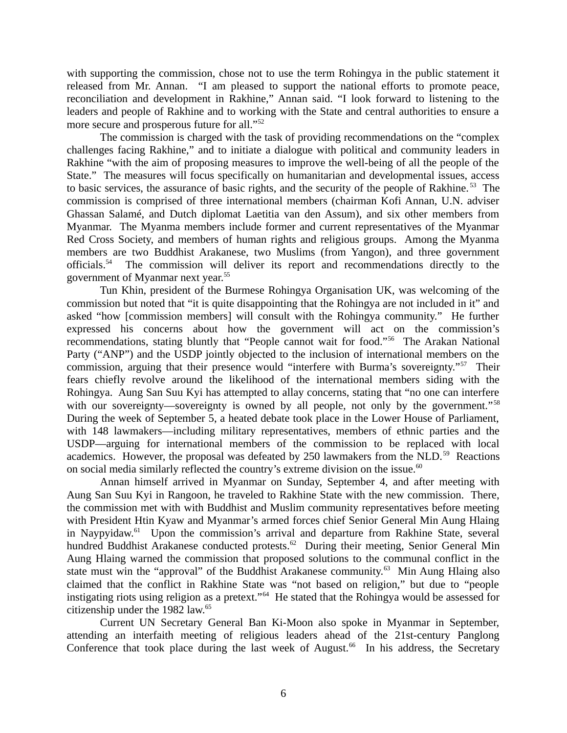with supporting the commission, chose not to use the term Rohingya in the public statement it released from Mr. Annan. "I am pleased to support the national efforts to promote peace, reconciliation and development in Rakhine," Annan said. "I look forward to listening to the leaders and people of Rakhine and to working with the State and central authorities to ensure a more secure and prosperous future for all."<sup>52</sup>

The commission is charged with the task of providing recommendations on the "complex challenges facing Rakhine," and to initiate a dialogue with political and community leaders in Rakhine "with the aim of proposing measures to improve the well-being of all the people of the State." The measures will focus specifically on humanitarian and developmental issues, access to basic services, the assurance of basic rights, and the security of the people of Rakhine.<sup>53</sup> The commission is comprised of three international members (chairman Kofi Annan, U.N. adviser Ghassan Salamé, and Dutch diplomat Laetitia van den Assum), and six other members from Myanmar. The Myanma members include former and current representatives of the Myanmar Red Cross Society, and members of human rights and religious groups. Among the Myanma members are two Buddhist Arakanese, two Muslims (from Yangon), and three government officials.<sup>54</sup> The commission will deliver its report and recommendations directly to the government of Myanmar next year.<sup>55</sup>

Tun Khin, president of the Burmese Rohingya Organisation UK, was welcoming of the commission but noted that "it is quite disappointing that the Rohingya are not included in it" and asked "how [commission members] will consult with the Rohingya community." He further expressed his concerns about how the government will act on the commission's recommendations, stating bluntly that "People cannot wait for food."<sup>56</sup> The Arakan National Party ("ANP") and the USDP jointly objected to the inclusion of international members on the commission, arguing that their presence would "interfere with Burma's sovereignty."<sup>57</sup> Their fears chiefly revolve around the likelihood of the international members siding with the Rohingya. Aung San Suu Kyi has attempted to allay concerns, stating that "no one can interfere with our sovereignty—sovereignty is owned by all people, not only by the government."<sup>58</sup> During the week of September 5, a heated debate took place in the Lower House of Parliament, with 148 lawmakers—including military representatives, members of ethnic parties and the USDP—arguing for international members of the commission to be replaced with local academics. However, the proposal was defeated by 250 lawmakers from the NLD.<sup>59</sup> Reactions on social media similarly reflected the country's extreme division on the issue. $60$ 

Annan himself arrived in Myanmar on Sunday, September 4, and after meeting with Aung San Suu Kyi in Rangoon, he traveled to Rakhine State with the new commission. There, the commission met with with Buddhist and Muslim community representatives before meeting with President Htin Kyaw and Myanmar's armed forces chief Senior General Min Aung Hlaing in Naypyidaw. $61$  Upon the commission's arrival and departure from Rakhine State, several hundred Buddhist Arakanese conducted protests.<sup>62</sup> During their meeting, Senior General Min Aung Hlaing warned the commission that proposed solutions to the communal conflict in the state must win the "approval" of the Buddhist Arakanese community.<sup>63</sup> Min Aung Hlaing also claimed that the conflict in Rakhine State was "not based on religion," but due to "people instigating riots using religion as a pretext."<sup>64</sup> He stated that the Rohingya would be assessed for citizenship under the 1982 law.<sup>65</sup>

Current UN Secretary General Ban Ki-Moon also spoke in Myanmar in September, attending an interfaith meeting of religious leaders ahead of the 21st-century Panglong Conference that took place during the last week of August.<sup>66</sup> In his address, the Secretary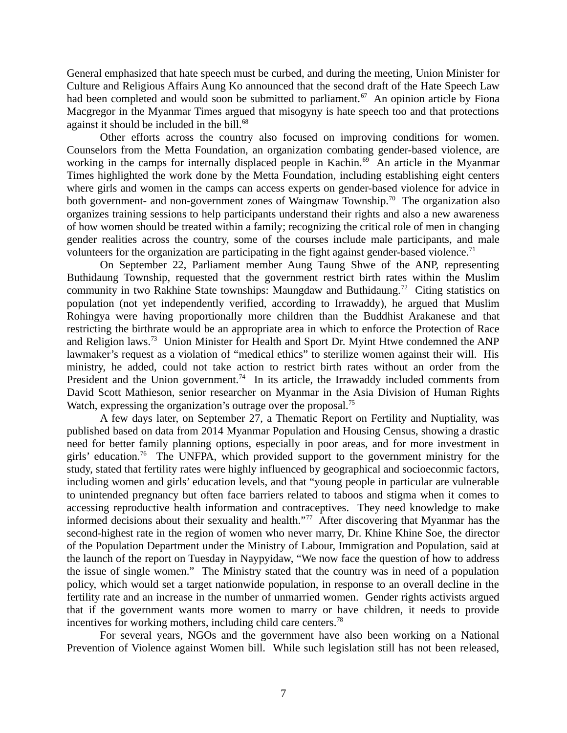General emphasized that hate speech must be curbed, and during the meeting, Union Minister for Culture and Religious Affairs Aung Ko announced that the second draft of the Hate Speech Law had been completed and would soon be submitted to parliament.<sup>67</sup> An opinion article by Fiona Macgregor in the Myanmar Times argued that misogyny is hate speech too and that protections against it should be included in the bill.<sup>68</sup>

Other efforts across the country also focused on improving conditions for women. Counselors from the Metta Foundation, an organization combating gender-based violence, are working in the camps for internally displaced people in Kachin.<sup>69</sup> An article in the Myanmar Times highlighted the work done by the Metta Foundation, including establishing eight centers where girls and women in the camps can access experts on gender-based violence for advice in both government- and non-government zones of Waingmaw Township.<sup>70</sup> The organization also organizes training sessions to help participants understand their rights and also a new awareness of how women should be treated within a family; recognizing the critical role of men in changing gender realities across the country, some of the courses include male participants, and male volunteers for the organization are participating in the fight against gender-based violence.<sup>71</sup>

On September 22, Parliament member Aung Taung Shwe of the ANP, representing Buthidaung Township, requested that the government restrict birth rates within the Muslim community in two Rakhine State townships: Maungdaw and Buthidaung.<sup>72</sup> Citing statistics on population (not yet independently verified, according to Irrawaddy), he argued that Muslim Rohingya were having proportionally more children than the Buddhist Arakanese and that restricting the birthrate would be an appropriate area in which to enforce the Protection of Race and Religion laws.<sup>73</sup> Union Minister for Health and Sport Dr. Myint Htwe condemned the ANP lawmaker's request as a violation of "medical ethics" to sterilize women against their will. His ministry, he added, could not take action to restrict birth rates without an order from the President and the Union government.<sup>74</sup> In its article, the Irrawaddy included comments from David Scott Mathieson, senior researcher on Myanmar in the Asia Division of Human Rights Watch, expressing the organization's outrage over the proposal.<sup>75</sup>

A few days later, on September 27, a Thematic Report on Fertility and Nuptiality, was published based on data from 2014 Myanmar Population and Housing Census, showing a drastic need for better family planning options, especially in poor areas, and for more investment in girls' education.<sup>76</sup> The UNFPA, which provided support to the government ministry for the study, stated that fertility rates were highly influenced by geographical and socioeconmic factors, including women and girls' education levels, and that "young people in particular are vulnerable to unintended pregnancy but often face barriers related to taboos and stigma when it comes to accessing reproductive health information and contraceptives. They need knowledge to make informed decisions about their sexuality and health."<sup>77</sup> After discovering that Myanmar has the second-highest rate in the region of women who never marry, Dr. Khine Khine Soe, the director of the Population Department under the Ministry of Labour, Immigration and Population, said at the launch of the report on Tuesday in Naypyidaw, "We now face the question of how to address the issue of single women." The Ministry stated that the country was in need of a population policy, which would set a target nationwide population, in response to an overall decline in the fertility rate and an increase in the number of unmarried women. Gender rights activists argued that if the government wants more women to marry or have children, it needs to provide incentives for working mothers, including child care centers. $78$ 

For several years, NGOs and the government have also been working on a National Prevention of Violence against Women bill. While such legislation still has not been released,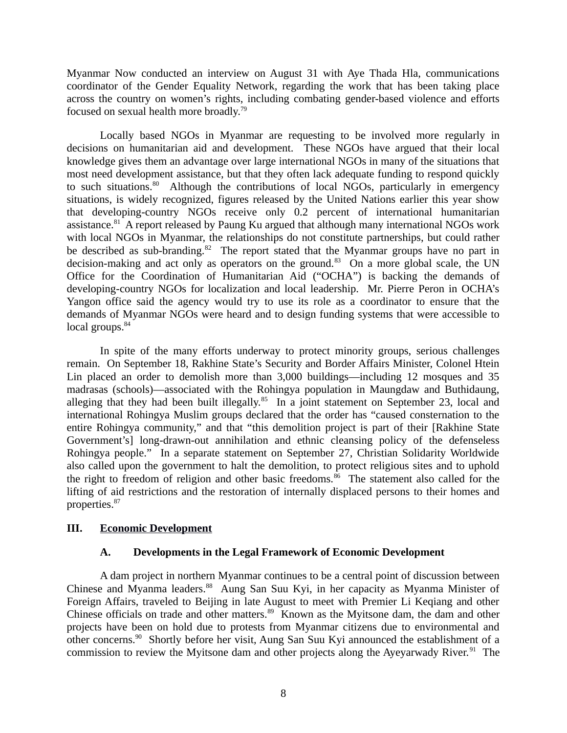Myanmar Now conducted an interview on August 31 with Aye Thada Hla, communications coordinator of the Gender Equality Network, regarding the work that has been taking place across the country on women's rights, including combating gender-based violence and efforts focused on sexual health more broadly.<sup>79</sup>

Locally based NGOs in Myanmar are requesting to be involved more regularly in decisions on humanitarian aid and development. These NGOs have argued that their local knowledge gives them an advantage over large international NGOs in many of the situations that most need development assistance, but that they often lack adequate funding to respond quickly to such situations.<sup>80</sup> Although the contributions of local NGOs, particularly in emergency situations, is widely recognized, figures released by the United Nations earlier this year show that developing-country NGOs receive only 0.2 percent of international humanitarian assistance.<sup>81</sup> A report released by Paung Ku argued that although many international NGOs work with local NGOs in Myanmar, the relationships do not constitute partnerships, but could rather be described as sub-branding.<sup>82</sup> The report stated that the Myanmar groups have no part in decision-making and act only as operators on the ground.<sup>83</sup> On a more global scale, the UN Office for the Coordination of Humanitarian Aid ("OCHA") is backing the demands of developing-country NGOs for localization and local leadership. Mr. Pierre Peron in OCHA's Yangon office said the agency would try to use its role as a coordinator to ensure that the demands of Myanmar NGOs were heard and to design funding systems that were accessible to  $local$  groups. $84$ 

In spite of the many efforts underway to protect minority groups, serious challenges remain. On September 18, Rakhine State's Security and Border Affairs Minister, Colonel Htein Lin placed an order to demolish more than 3,000 buildings—including 12 mosques and 35 madrasas (schools)—associated with the Rohingya population in Maungdaw and Buthidaung, alleging that they had been built illegally.<sup>85</sup> In a joint statement on September 23, local and international Rohingya Muslim groups declared that the order has "caused consternation to the entire Rohingya community," and that "this demolition project is part of their [Rakhine State Government's] long-drawn-out annihilation and ethnic cleansing policy of the defenseless Rohingya people." In a separate statement on September 27, Christian Solidarity Worldwide also called upon the government to halt the demolition, to protect religious sites and to uphold the right to freedom of religion and other basic freedoms. $86$  The statement also called for the lifting of aid restrictions and the restoration of internally displaced persons to their homes and properties.<sup>87</sup>

#### **III. Economic Development**

#### <span id="page-7-1"></span><span id="page-7-0"></span>**A. Developments in the Legal Framework of Economic Development**

A dam project in northern Myanmar continues to be a central point of discussion between Chinese and Myanma leaders.<sup>88</sup> Aung San Suu Kyi, in her capacity as Myanma Minister of Foreign Affairs, traveled to Beijing in late August to meet with Premier Li Keqiang and other Chinese officials on trade and other matters.<sup>89</sup> Known as the Myitsone dam, the dam and other projects have been on hold due to protests from Myanmar citizens due to environmental and other concerns.<sup>90</sup> Shortly before her visit, Aung San Suu Kyi announced the establishment of a commission to review the Myitsone dam and other projects along the Ayevarwady River.<sup>91</sup> The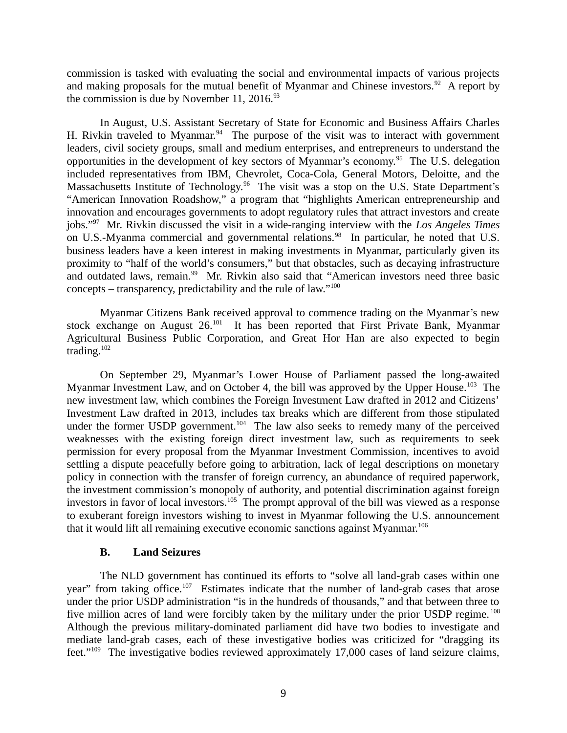commission is tasked with evaluating the social and environmental impacts of various projects and making proposals for the mutual benefit of Myanmar and Chinese investors.<sup>92</sup> A report by the commission is due by November 11, 2016. $93$ 

In August, U.S. Assistant Secretary of State for Economic and Business Affairs Charles H. Rivkin traveled to Myanmar.<sup>94</sup> The purpose of the visit was to interact with government leaders, civil society groups, small and medium enterprises, and entrepreneurs to understand the opportunities in the development of key sectors of Myanmar's economy.<sup>95</sup> The U.S. delegation included representatives from IBM, Chevrolet, Coca-Cola, General Motors, Deloitte, and the Massachusetts Institute of Technology.<sup>96</sup> The visit was a stop on the U.S. State Department's "American Innovation Roadshow," a program that "highlights American entrepreneurship and innovation and encourages governments to adopt regulatory rules that attract investors and create jobs."<sup>97</sup> Mr. Rivkin discussed the visit in a wide-ranging interview with the *Los Angeles Times* on U.S.-Myanma commercial and governmental relations.<sup>98</sup> In particular, he noted that U.S. business leaders have a keen interest in making investments in Myanmar, particularly given its proximity to "half of the world's consumers," but that obstacles, such as decaying infrastructure and outdated laws, remain.<sup>99</sup> Mr. Rivkin also said that "American investors need three basic concepts – transparency, predictability and the rule of law." $100$ 

Myanmar Citizens Bank received approval to commence trading on the Myanmar's new stock exchange on August  $26.^{101}$  It has been reported that First Private Bank, Myanmar Agricultural Business Public Corporation, and Great Hor Han are also expected to begin trading.<sup>102</sup>

On September 29, Myanmar's Lower House of Parliament passed the long-awaited Myanmar Investment Law, and on October 4, the bill was approved by the Upper House.<sup>103</sup> The new investment law, which combines the Foreign Investment Law drafted in 2012 and Citizens' Investment Law drafted in 2013, includes tax breaks which are different from those stipulated under the former USDP government.<sup>104</sup> The law also seeks to remedy many of the perceived weaknesses with the existing foreign direct investment law, such as requirements to seek permission for every proposal from the Myanmar Investment Commission, incentives to avoid settling a dispute peacefully before going to arbitration, lack of legal descriptions on monetary policy in connection with the transfer of foreign currency, an abundance of required paperwork, the investment commission's monopoly of authority, and potential discrimination against foreign investors in favor of local investors.<sup>105</sup> The prompt approval of the bill was viewed as a response to exuberant foreign investors wishing to invest in Myanmar following the U.S. announcement that it would lift all remaining executive economic sanctions against Myanmar.<sup>106</sup>

#### <span id="page-8-0"></span>**B. Land Seizures**

The NLD government has continued its efforts to "solve all land-grab cases within one year" from taking office.<sup>107</sup> Estimates indicate that the number of land-grab cases that arose under the prior USDP administration "is in the hundreds of thousands," and that between three to five million acres of land were forcibly taken by the military under the prior USDP regime.<sup>108</sup> Although the previous military-dominated parliament did have two bodies to investigate and mediate land-grab cases, each of these investigative bodies was criticized for "dragging its feet."<sup>109</sup> The investigative bodies reviewed approximately 17,000 cases of land seizure claims,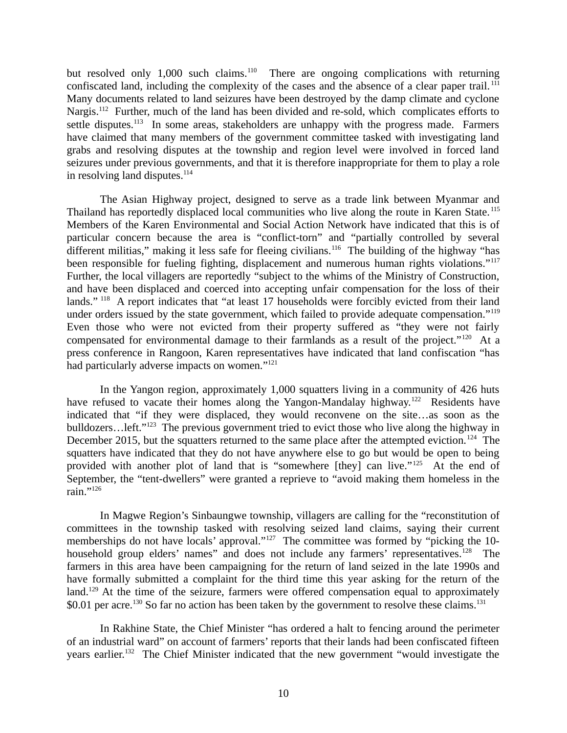but resolved only 1,000 such claims. $110$  There are ongoing complications with returning confiscated land, including the complexity of the cases and the absence of a clear paper trail.<sup>111</sup> Many documents related to land seizures have been destroyed by the damp climate and cyclone Nargis.<sup>112</sup> Further, much of the land has been divided and re-sold, which complicates efforts to settle disputes.<sup>113</sup> In some areas, stakeholders are unhappy with the progress made. Farmers have claimed that many members of the government committee tasked with investigating land grabs and resolving disputes at the township and region level were involved in forced land seizures under previous governments, and that it is therefore inappropriate for them to play a role in resolving land disputes. $114$ 

The Asian Highway project, designed to serve as a trade link between Myanmar and Thailand has reportedly displaced local communities who live along the route in Karen State.<sup>115</sup> Members of the Karen Environmental and Social Action Network have indicated that this is of particular concern because the area is "conflict-torn" and "partially controlled by several different militias," making it less safe for fleeing civilians.<sup>116</sup> The building of the highway "has been responsible for fueling fighting, displacement and numerous human rights violations."<sup>117</sup> Further, the local villagers are reportedly "subject to the whims of the Ministry of Construction, and have been displaced and coerced into accepting unfair compensation for the loss of their lands."<sup>118</sup> A report indicates that "at least 17 households were forcibly evicted from their land under orders issued by the state government, which failed to provide adequate compensation."<sup>119</sup> Even those who were not evicted from their property suffered as "they were not fairly compensated for environmental damage to their farmlands as a result of the project."<sup>120</sup> At a press conference in Rangoon, Karen representatives have indicated that land confiscation "has had particularly adverse impacts on women."<sup>121</sup>

In the Yangon region, approximately 1,000 squatters living in a community of 426 huts have refused to vacate their homes along the Yangon-Mandalay highway.<sup>122</sup> Residents have indicated that "if they were displaced, they would reconvene on the site…as soon as the bulldozers...left."<sup>123</sup> The previous government tried to evict those who live along the highway in December 2015, but the squatters returned to the same place after the attempted eviction.<sup>124</sup> The squatters have indicated that they do not have anywhere else to go but would be open to being provided with another plot of land that is "somewhere [they] can live."<sup>125</sup> At the end of September, the "tent-dwellers" were granted a reprieve to "avoid making them homeless in the rain." $^{126}$ 

In Magwe Region's Sinbaungwe township, villagers are calling for the "reconstitution of committees in the township tasked with resolving seized land claims, saying their current memberships do not have locals' approval."<sup>127</sup> The committee was formed by "picking the 10household group elders' names" and does not include any farmers' representatives.<sup>128</sup> The farmers in this area have been campaigning for the return of land seized in the late 1990s and have formally submitted a complaint for the third time this year asking for the return of the land.<sup>129</sup> At the time of the seizure, farmers were offered compensation equal to approximately \$0.01 per acre.<sup>130</sup> So far no action has been taken by the government to resolve these claims.<sup>131</sup>

In Rakhine State, the Chief Minister "has ordered a halt to fencing around the perimeter of an industrial ward" on account of farmers' reports that their lands had been confiscated fifteen years earlier.<sup>132</sup> The Chief Minister indicated that the new government "would investigate the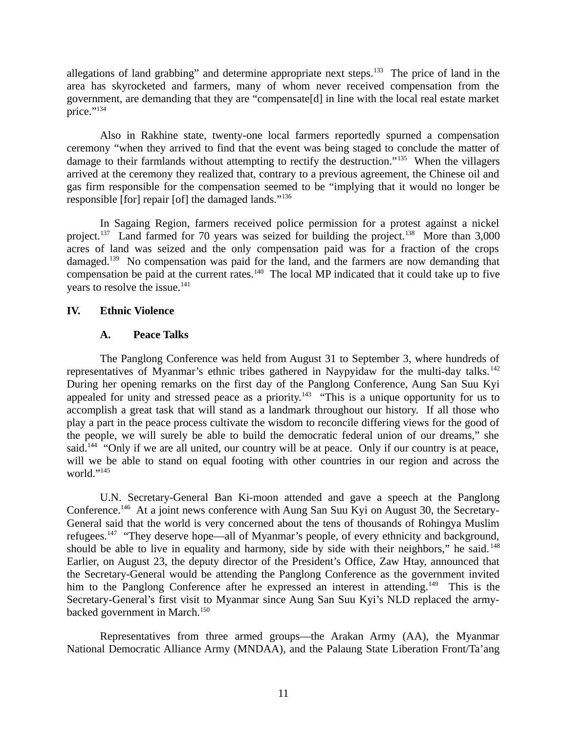allegations of land grabbing" and determine appropriate next steps. $133$  The price of land in the area has skyrocketed and farmers, many of whom never received compensation from the government, are demanding that they are "compensate[d] in line with the local real estate market price."134

Also in Rakhine state, twenty-one local farmers reportedly spurned a compensation ceremony "when they arrived to find that the event was being staged to conclude the matter of damage to their farmlands without attempting to rectify the destruction."<sup>135</sup> When the villagers arrived at the ceremony they realized that, contrary to a previous agreement, the Chinese oil and gas firm responsible for the compensation seemed to be "implying that it would no longer be responsible [for] repair [of] the damaged lands."<sup>136</sup>

In Sagaing Region, farmers received police permission for a protest against a nickel project.<sup>137</sup> Land farmed for 70 years was seized for building the project.<sup>138</sup> More than 3,000 acres of land was seized and the only compensation paid was for a fraction of the crops damaged.<sup>139</sup> No compensation was paid for the land, and the farmers are now demanding that compensation be paid at the current rates.<sup>140</sup> The local MP indicated that it could take up to five years to resolve the issue.<sup>141</sup>

## **IV. Ethnic Violence**

## <span id="page-10-1"></span><span id="page-10-0"></span>**A. Peace Talks**

The Panglong Conference was held from August 31 to September 3, where hundreds of representatives of Myanmar's ethnic tribes gathered in Naypyidaw for the multi-day talks.<sup>142</sup> During her opening remarks on the first day of the Panglong Conference, Aung San Suu Kyi appealed for unity and stressed peace as a priority.<sup>143</sup> "This is a unique opportunity for us to accomplish a great task that will stand as a landmark throughout our history. If all those who play a part in the peace process cultivate the wisdom to reconcile differing views for the good of the people, we will surely be able to build the democratic federal union of our dreams," she said.<sup>144</sup> "Only if we are all united, our country will be at peace. Only if our country is at peace, will we be able to stand on equal footing with other countries in our region and across the world."145

U.N. Secretary-General Ban Ki-moon attended and gave a speech at the Panglong Conference.146 At a joint news conference with Aung San Suu Kyi on August 30, the Secretary-General said that the world is very concerned about the tens of thousands of Rohingya Muslim refugees.<sup>147</sup> "They deserve hope—all of Myanmar's people, of every ethnicity and background, should be able to live in equality and harmony, side by side with their neighbors," he said.<sup>148</sup> Earlier, on August 23, the deputy director of the President's Office, Zaw Htay, announced that the Secretary-General would be attending the Panglong Conference as the government invited him to the Panglong Conference after he expressed an interest in attending.<sup>149</sup> This is the Secretary-General's first visit to Myanmar since Aung San Suu Kyi's NLD replaced the armybacked government in March.<sup>150</sup>

Representatives from three armed groups—the Arakan Army (AA), the Myanmar National Democratic Alliance Army (MNDAA), and the Palaung State Liberation Front/Ta'ang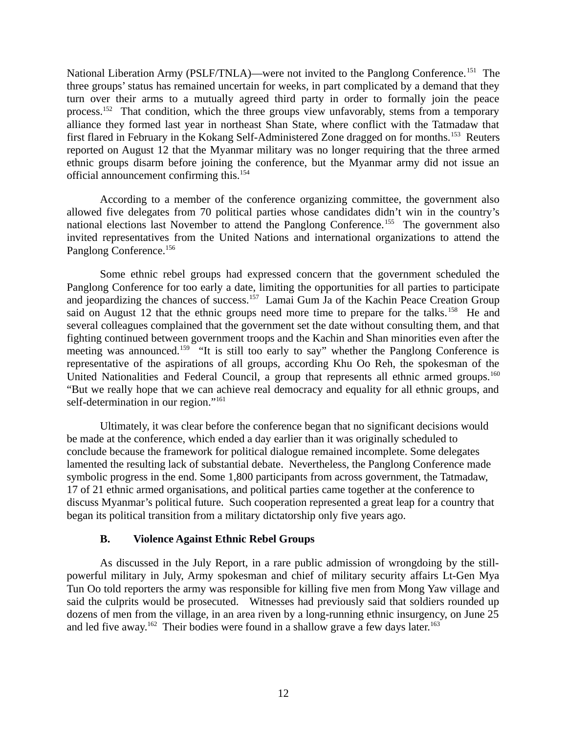National Liberation Army (PSLF/TNLA)—were not invited to the Panglong Conference.<sup>151</sup> The three groups' status has remained uncertain for weeks, in part complicated by a demand that they turn over their arms to a mutually agreed third party in order to formally join the peace process.<sup>152</sup> That condition, which the three groups view unfavorably, stems from a temporary alliance they formed last year in northeast Shan State, where conflict with the Tatmadaw that first flared in February in the Kokang Self-Administered Zone dragged on for months.<sup>153</sup> Reuters reported on August 12 that the Myanmar military was no longer requiring that the three armed ethnic groups disarm before joining the conference, but the Myanmar army did not issue an official announcement confirming this.<sup>154</sup>

According to a member of the conference organizing committee, the government also allowed five delegates from 70 political parties whose candidates didn't win in the country's national elections last November to attend the Panglong Conference.<sup>155</sup> The government also invited representatives from the United Nations and international organizations to attend the Panglong Conference.<sup>156</sup>

Some ethnic rebel groups had expressed concern that the government scheduled the Panglong Conference for too early a date, limiting the opportunities for all parties to participate and jeopardizing the chances of success.<sup>157</sup> Lamai Gum Ja of the Kachin Peace Creation Group said on August 12 that the ethnic groups need more time to prepare for the talks.<sup>158</sup> He and several colleagues complained that the government set the date without consulting them, and that fighting continued between government troops and the Kachin and Shan minorities even after the meeting was announced.<sup>159</sup> "It is still too early to say" whether the Panglong Conference is representative of the aspirations of all groups, according Khu Oo Reh, the spokesman of the United Nationalities and Federal Council, a group that represents all ethnic armed groups.<sup>160</sup> "But we really hope that we can achieve real democracy and equality for all ethnic groups, and self-determination in our region."<sup>161</sup>

Ultimately, it was clear before the conference began that no significant decisions would be made at the conference, which ended a day earlier than it was originally scheduled to conclude because the framework for political dialogue remained incomplete. Some delegates lamented the resulting lack of substantial debate. Nevertheless, the Panglong Conference made symbolic progress in the end. Some 1,800 participants from across government, the Tatmadaw, 17 of 21 ethnic armed organisations, and political parties came together at the conference to discuss Myanmar's political future. Such cooperation represented a great leap for a country that began its political transition from a military dictatorship only five years ago.

## <span id="page-11-0"></span>**B. Violence Against Ethnic Rebel Groups**

As discussed in the July Report, in a rare public admission of wrongdoing by the stillpowerful military in July, Army spokesman and chief of military security affairs Lt-Gen Mya Tun Oo told reporters the army was responsible for killing five men from Mong Yaw village and said the culprits would be prosecuted. Witnesses had previously said that soldiers rounded up dozens of men from the village, in an area riven by a long-running ethnic insurgency, on June 25 and led five away.<sup>162</sup> Their bodies were found in a shallow grave a few days later.<sup>163</sup>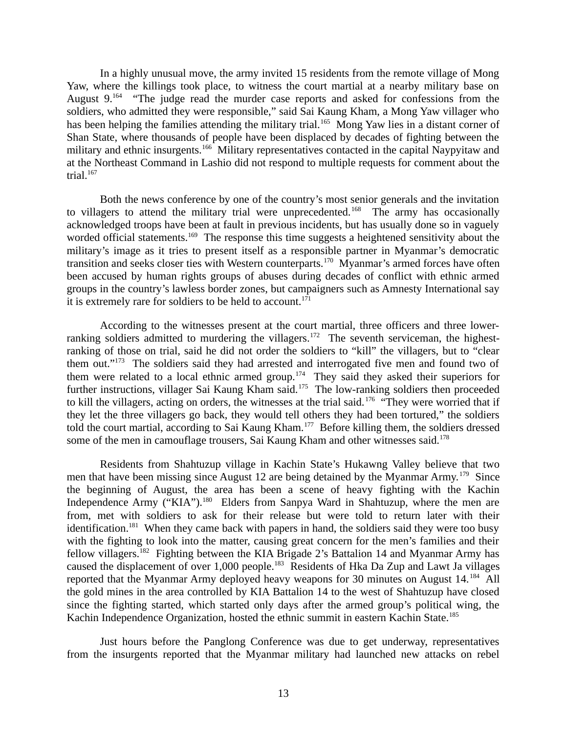In a highly unusual move, the army invited 15 residents from the remote village of Mong Yaw, where the killings took place, to witness the court martial at a nearby military base on August 9.<sup>164</sup> "The judge read the murder case reports and asked for confessions from the soldiers, who admitted they were responsible," said Sai Kaung Kham, a Mong Yaw villager who has been helping the families attending the military trial.<sup>165</sup> Mong Yaw lies in a distant corner of Shan State, where thousands of people have been displaced by decades of fighting between the military and ethnic insurgents.<sup>166</sup> Military representatives contacted in the capital Naypyitaw and at the Northeast Command in Lashio did not respond to multiple requests for comment about the trial. $167$ 

Both the news conference by one of the country's most senior generals and the invitation to villagers to attend the military trial were unprecedented.<sup>168</sup> The army has occasionally acknowledged troops have been at fault in previous incidents, but has usually done so in vaguely worded official statements.<sup>169</sup> The response this time suggests a heightened sensitivity about the military's image as it tries to present itself as a responsible partner in Myanmar's democratic transition and seeks closer ties with Western counterparts.<sup>170</sup> Myanmar's armed forces have often been accused by human rights groups of abuses during decades of conflict with ethnic armed groups in the country's lawless border zones, but campaigners such as Amnesty International say it is extremely rare for soldiers to be held to account.<sup>171</sup>

According to the witnesses present at the court martial, three officers and three lowerranking soldiers admitted to murdering the villagers.<sup>172</sup> The seventh serviceman, the highestranking of those on trial, said he did not order the soldiers to "kill" the villagers, but to "clear them out."<sup>173</sup> The soldiers said they had arrested and interrogated five men and found two of them were related to a local ethnic armed group.<sup>174</sup> They said they asked their superiors for further instructions, villager Sai Kaung Kham said.<sup>175</sup> The low-ranking soldiers then proceeded to kill the villagers, acting on orders, the witnesses at the trial said.<sup>176</sup> "They were worried that if they let the three villagers go back, they would tell others they had been tortured," the soldiers told the court martial, according to Sai Kaung Kham.<sup>177</sup> Before killing them, the soldiers dressed some of the men in camouflage trousers, Sai Kaung Kham and other witnesses said.<sup>178</sup>

Residents from Shahtuzup village in Kachin State's Hukawng Valley believe that two men that have been missing since August 12 are being detained by the Myanmar Army.<sup>179</sup> Since the beginning of August, the area has been a scene of heavy fighting with the Kachin Independence Army ("KIA").<sup>180</sup> Elders from Sanpya Ward in Shahtuzup, where the men are from, met with soldiers to ask for their release but were told to return later with their identification.<sup>181</sup> When they came back with papers in hand, the soldiers said they were too busy with the fighting to look into the matter, causing great concern for the men's families and their fellow villagers.<sup>182</sup> Fighting between the KIA Brigade 2's Battalion 14 and Myanmar Army has caused the displacement of over 1,000 people.<sup>183</sup> Residents of Hka Da Zup and Lawt Ja villages reported that the Myanmar Army deployed heavy weapons for 30 minutes on August 14.<sup>184</sup> All the gold mines in the area controlled by KIA Battalion 14 to the west of Shahtuzup have closed since the fighting started, which started only days after the armed group's political wing, the Kachin Independence Organization, hosted the ethnic summit in eastern Kachin State.<sup>185</sup>

Just hours before the Panglong Conference was due to get underway, representatives from the insurgents reported that the Myanmar military had launched new attacks on rebel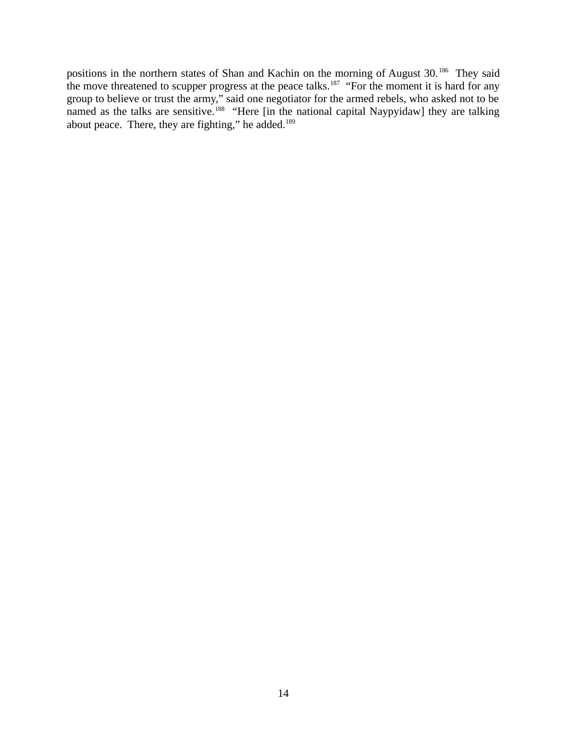positions in the northern states of Shan and Kachin on the morning of August 30.<sup>186</sup> They said the move threatened to scupper progress at the peace talks.<sup>187</sup> "For the moment it is hard for any group to believe or trust the army," said one negotiator for the armed rebels, who asked not to be named as the talks are sensitive.<sup>188</sup> "Here [in the national capital Naypyidaw] they are talking about peace. There, they are fighting," he added.<sup>189</sup>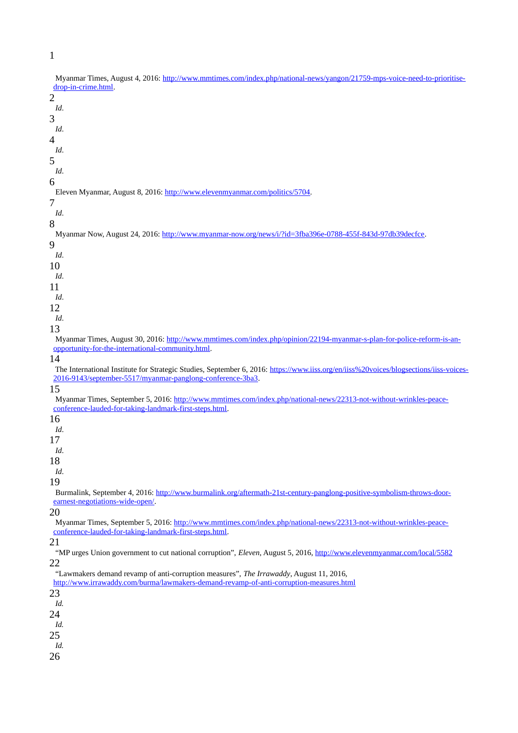1

| Myanmar Times, August 4, 2016: http://www.mmtimes.com/index.php/national-news/yangon/21759-mps-voice-need-to-prioritise-<br>drop-in-crime.html.                                         |
|-----------------------------------------------------------------------------------------------------------------------------------------------------------------------------------------|
| $\overline{2}$<br>Id.                                                                                                                                                                   |
| 3                                                                                                                                                                                       |
| Id.                                                                                                                                                                                     |
| 4                                                                                                                                                                                       |
| Id.                                                                                                                                                                                     |
| 5                                                                                                                                                                                       |
| Id.                                                                                                                                                                                     |
| 6                                                                                                                                                                                       |
| Eleven Myanmar, August 8, 2016: http://www.elevenmyanmar.com/politics/5704.                                                                                                             |
| 7<br>Id.                                                                                                                                                                                |
| 8                                                                                                                                                                                       |
| Myanmar Now, August 24, 2016: http://www.myanmar-now.org/news/i/?id=3fba396e-0788-455f-843d-97db39decfce.                                                                               |
| 9                                                                                                                                                                                       |
| Id.                                                                                                                                                                                     |
| 10                                                                                                                                                                                      |
| Id.                                                                                                                                                                                     |
| 11                                                                                                                                                                                      |
| Id.                                                                                                                                                                                     |
| 12                                                                                                                                                                                      |
| Id.                                                                                                                                                                                     |
| 13<br>Myanmar Times, August 30, 2016: http://www.mmtimes.com/index.php/opinion/22194-myanmar-s-plan-for-police-reform-is-an-                                                            |
| opportunity-for-the-international-community.html.                                                                                                                                       |
| 14                                                                                                                                                                                      |
|                                                                                                                                                                                         |
| The International Institute for Strategic Studies, September 6, 2016: https://www.iiss.org/en/iiss%20voices/blogsections/iiss-voices-                                                   |
| 2016-9143/september-5517/myanmar-panglong-conference-3ba3.                                                                                                                              |
| 15                                                                                                                                                                                      |
| Myanmar Times, September 5, 2016: http://www.mmtimes.com/index.php/national-news/22313-not-without-wrinkles-peace-                                                                      |
| conference-lauded-for-taking-landmark-first-steps.html.                                                                                                                                 |
| 16                                                                                                                                                                                      |
| Id.                                                                                                                                                                                     |
| 17                                                                                                                                                                                      |
| Id.                                                                                                                                                                                     |
| 18<br>Id.                                                                                                                                                                               |
| 19                                                                                                                                                                                      |
| Burmalink, September 4, 2016: http://www.burmalink.org/aftermath-21st-century-panglong-positive-symbolism-throws-door-<br>earnest-negotiations-wide-open/.                              |
| 20                                                                                                                                                                                      |
| Myanmar Times, September 5, 2016: http://www.mmtimes.com/index.php/national-news/22313-not-without-wrinkles-peace-                                                                      |
| conference-lauded-for-taking-landmark-first-steps.html.                                                                                                                                 |
| 21                                                                                                                                                                                      |
| "MP urges Union government to cut national corruption", Eleven, August 5, 2016, http://www.elevenmyanmar.com/local/5582                                                                 |
| 22<br>"Lawmakers demand revamp of anti-corruption measures", The Irrawaddy, August 11, 2016,<br>http://www.irrawaddy.com/burma/lawmakers-demand-revamp-of-anti-corruption-measures.html |
| 23                                                                                                                                                                                      |
| Id.                                                                                                                                                                                     |
| 24                                                                                                                                                                                      |
| Id.                                                                                                                                                                                     |
| 25<br>Id.                                                                                                                                                                               |

26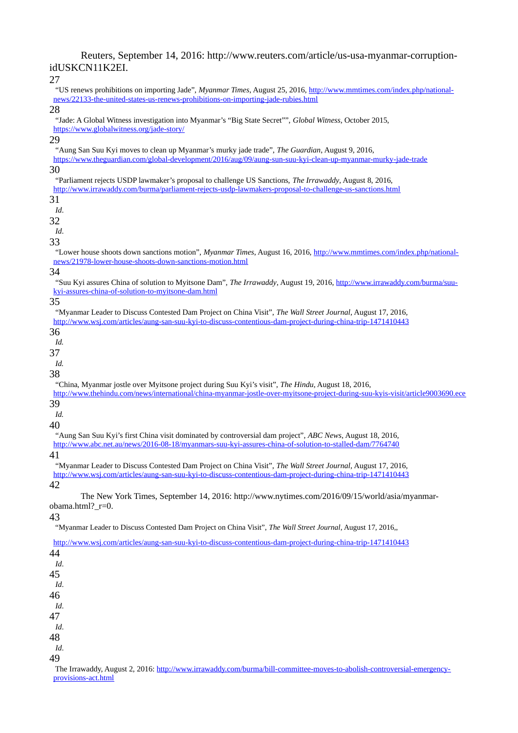#### Reuters, September 14, 2016: http://www.reuters.com/article/us-usa-myanmar-corruptionidUSKCN11K2EI.

27

 "US renews prohibitions on importing Jade", *Myanmar Times*, August 25, 2016, [http://www.mmtimes.com/index.php/national](http://www.mmtimes.com/index.php/national-news/22133-the-united-states-us-renews-prohibitions-on-importing-jade-rubies.html)[news/22133-the-united-states-us-renews-prohibitions-on-importing-jade-rubies.html](http://www.mmtimes.com/index.php/national-news/22133-the-united-states-us-renews-prohibitions-on-importing-jade-rubies.html)

#### 28

 "Jade: A Global Witness investigation into Myanmar's "Big State Secret"", *Global Witness*, October 2015, <https://www.globalwitness.org/jade-story/>

#### 29

"Aung San Suu Kyi moves to clean up Myanmar's murky jade trade", *The Guardian*, August 9, 2016,

<https://www.theguardian.com/global-development/2016/aug/09/aung-sun-suu-kyi-clean-up-myanmar-murky-jade-trade> 30

 "Parliament rejects USDP lawmaker's proposal to challenge US Sanctions, *The Irrawaddy*, August 8, 2016, <http://www.irrawaddy.com/burma/parliament-rejects-usdp-lawmakers-proposal-to-challenge-us-sanctions.html>

31

*Id*.

32

*Id*.

33

 "Lower house shoots down sanctions motion", *Myanmar Times*, August 16, 2016, [http://www.mmtimes.com/index.php/national](http://www.mmtimes.com/index.php/national-news/21978-lower-house-shoots-down-sanctions-motion.html)[news/21978-lower-house-shoots-down-sanctions-motion.html](http://www.mmtimes.com/index.php/national-news/21978-lower-house-shoots-down-sanctions-motion.html)

34

 "Suu Kyi assures China of solution to Myitsone Dam", *The Irrawaddy*, August 19, 2016, [http://www.irrawaddy.com/burma/suu](http://www.irrawaddy.com/burma/suu-kyi-assures-china-of-solution-to-myitsone-dam.html)[kyi-assures-china-of-solution-to-myitsone-dam.html](http://www.irrawaddy.com/burma/suu-kyi-assures-china-of-solution-to-myitsone-dam.html)

35

 "Myanmar Leader to Discuss Contested Dam Project on China Visit", *The Wall Street Journal*, August 17, 2016, <http://www.wsj.com/articles/aung-san-suu-kyi-to-discuss-contentious-dam-project-during-china-trip-1471410443>

36

*Id.*

37

*Id.*

38

"China, Myanmar jostle over Myitsone project during Suu Kyi's visit", *The Hindu*, August 18, 2016,

<http://www.thehindu.com/news/international/china-myanmar-jostle-over-myitsone-project-during-suu-kyis-visit/article9003690.ece> 39

*Id.*

40

 "Aung San Suu Kyi's first China visit dominated by controversial dam project", *ABC News*, August 18, 2016, <http://www.abc.net.au/news/2016-08-18/myanmars-suu-kyi-assures-china-of-solution-to-stalled-dam/7764740>

41

 "Myanmar Leader to Discuss Contested Dam Project on China Visit", *The Wall Street Journal*, August 17, 2016, <http://www.wsj.com/articles/aung-san-suu-kyi-to-discuss-contentious-dam-project-during-china-trip-1471410443> 42

The New York Times, September 14, 2016: http://www.nytimes.com/2016/09/15/world/asia/myanmarobama.html?\_r=0.

43

"Myanmar Leader to Discuss Contested Dam Project on China Visit", *The Wall Street Journal*, August 17, 2016,,

<http://www.wsj.com/articles/aung-san-suu-kyi-to-discuss-contentious-dam-project-during-china-trip-1471410443>

44 *Id*.

45

*Id*.

- 46
- *Id*.
- 47 *Id*.
- 48
- *Id*.
- 49

The Irrawaddy, August 2, 2016: [http://www.irrawaddy.com/burma/bill-committee-moves-to-abolish-controversial-emergency](http://www.irrawaddy.com/burma/bill-committee-moves-to-abolish-controversial-emergency-provisions-act.html)[provisions-act.html](http://www.irrawaddy.com/burma/bill-committee-moves-to-abolish-controversial-emergency-provisions-act.html)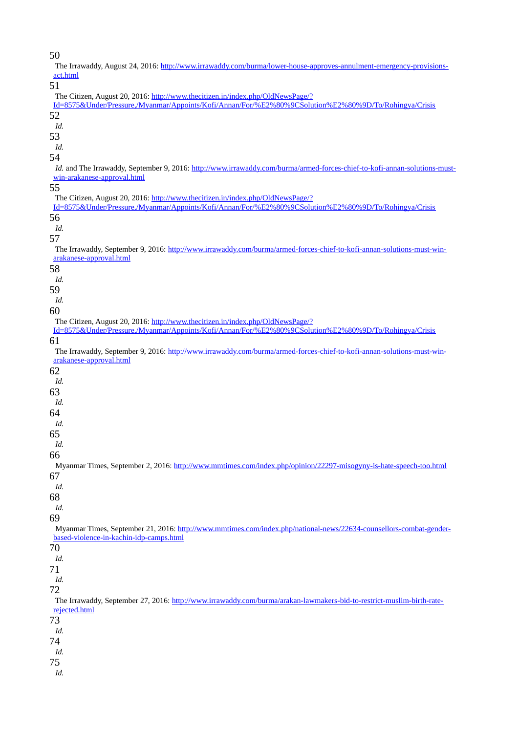50

| The Irrawaddy, August 24, 2016: http://www.irrawaddy.com/burma/lower-house-approves-annulment-emergency-provisions-<br>act.html                                                         |
|-----------------------------------------------------------------------------------------------------------------------------------------------------------------------------------------|
| 51                                                                                                                                                                                      |
| The Citizen, August 20, 2016: http://www.thecitizen.in/index.php/OldNewsPage/?<br>Id=8575&Under/Pressure,/Myanmar/Appoints/Kofi/Annan/For/%E2%80%9CSolution%E2%80%9D/To/Rohingya/Crisis |
| 52                                                                                                                                                                                      |
| Id.                                                                                                                                                                                     |
| 53                                                                                                                                                                                      |
| Id.                                                                                                                                                                                     |
| 54                                                                                                                                                                                      |
| Id. and The Irrawaddy, September 9, 2016: http://www.irrawaddy.com/burma/armed-forces-chief-to-kofi-annan-solutions-must-<br>win-arakanese-approval.html                                |
| 55                                                                                                                                                                                      |
| The Citizen, August 20, 2016: http://www.thecitizen.in/index.php/OldNewsPage/?<br>Id=8575&Under/Pressure,/Myanmar/Appoints/Kofi/Annan/For/%E2%80%9CSolution%E2%80%9D/To/Rohingya/Crisis |
| 56                                                                                                                                                                                      |
| Id.                                                                                                                                                                                     |
| 57                                                                                                                                                                                      |
| The Irrawaddy, September 9, 2016: http://www.irrawaddy.com/burma/armed-forces-chief-to-kofi-annan-solutions-must-win-<br>arakanese-approval.html                                        |
| 58                                                                                                                                                                                      |
| Id.                                                                                                                                                                                     |
| 59                                                                                                                                                                                      |
| Id.                                                                                                                                                                                     |
| 60                                                                                                                                                                                      |
| The Citizen, August 20, 2016: http://www.thecitizen.in/index.php/OldNewsPage/?                                                                                                          |
| Id=8575&Under/Pressure,/Myanmar/Appoints/Kofi/Annan/For/%E2%80%9CSolution%E2%80%9D/To/Rohingya/Crisis                                                                                   |
| 61                                                                                                                                                                                      |
| The Irrawaddy, September 9, 2016: http://www.irrawaddy.com/burma/armed-forces-chief-to-kofi-annan-solutions-must-win-<br>arakanese-approval.html                                        |
| 62                                                                                                                                                                                      |
| Id.                                                                                                                                                                                     |
| 63                                                                                                                                                                                      |
| Id.                                                                                                                                                                                     |
| 64                                                                                                                                                                                      |
| Id.                                                                                                                                                                                     |
| 65                                                                                                                                                                                      |
| Id.                                                                                                                                                                                     |
| 66                                                                                                                                                                                      |
| Myanmar Times, September 2, 2016: http://www.mmtimes.com/index.php/opinion/22297-misogyny-is-hate-speech-too.html                                                                       |
| 67                                                                                                                                                                                      |
| Id.                                                                                                                                                                                     |
| 68                                                                                                                                                                                      |
| Id.                                                                                                                                                                                     |
|                                                                                                                                                                                         |
| 69                                                                                                                                                                                      |
| Myanmar Times, September 21, 2016: http://www.mmtimes.com/index.php/national-news/22634-counsellors-combat-gender-                                                                      |
| based-violence-in-kachin-idp-camps.html                                                                                                                                                 |
| 70                                                                                                                                                                                      |
| Id.                                                                                                                                                                                     |
| 71                                                                                                                                                                                      |
| Id.                                                                                                                                                                                     |
| 72                                                                                                                                                                                      |
| The Irrawaddy, September 27, 2016: http://www.irrawaddy.com/burma/arakan-lawmakers-bid-to-restrict-muslim-birth-rate-<br>rejected.html                                                  |
| 73                                                                                                                                                                                      |
| Id.                                                                                                                                                                                     |
| 74                                                                                                                                                                                      |
| Id.                                                                                                                                                                                     |
| 75                                                                                                                                                                                      |
| Id.                                                                                                                                                                                     |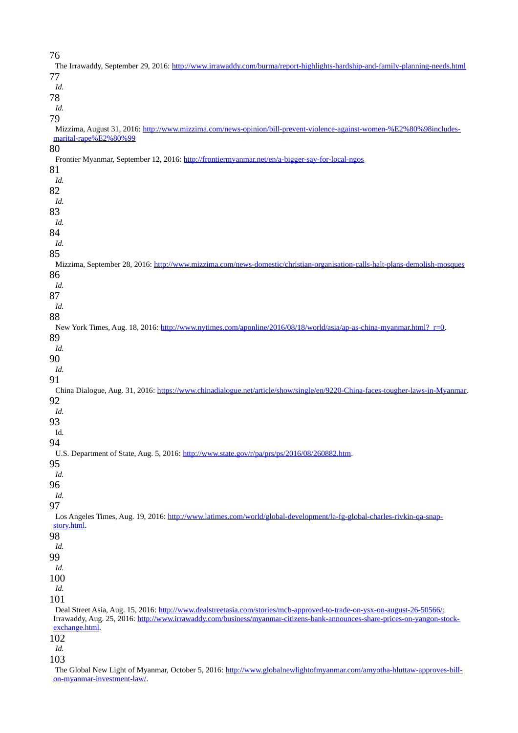76

| 70                                                                                                                            |
|-------------------------------------------------------------------------------------------------------------------------------|
| The Irrawaddy, September 29, 2016: http://www.irrawaddy.com/burma/report-highlights-hardship-and-family-planning-needs.html   |
| 77                                                                                                                            |
| Id.                                                                                                                           |
| 78                                                                                                                            |
|                                                                                                                               |
| Id.                                                                                                                           |
| 79                                                                                                                            |
| Mizzima, August 31, 2016: http://www.mizzima.com/news-opinion/bill-prevent-violence-against-women-%E2%80%98includes-          |
| marital-rape%E2%80%99                                                                                                         |
| 80                                                                                                                            |
| Frontier Myanmar, September 12, 2016: http://frontiermyanmar.net/en/a-bigger-say-for-local-ngos                               |
| 81                                                                                                                            |
|                                                                                                                               |
| Id.                                                                                                                           |
| 82                                                                                                                            |
| Id.                                                                                                                           |
| 83                                                                                                                            |
| Id.                                                                                                                           |
|                                                                                                                               |
| 84                                                                                                                            |
| Id.                                                                                                                           |
| 85                                                                                                                            |
| Mizzima, September 28, 2016: http://www.mizzima.com/news-domestic/christian-organisation-calls-halt-plans-demolish-mosques    |
| 86                                                                                                                            |
| Id.                                                                                                                           |
|                                                                                                                               |
| 87                                                                                                                            |
| Id.                                                                                                                           |
| 88                                                                                                                            |
| New York Times, Aug. 18, 2016: http://www.nytimes.com/aponline/2016/08/18/world/asia/ap-as-china-myanmar.html? r=0.           |
| 89                                                                                                                            |
| Id.                                                                                                                           |
|                                                                                                                               |
| 90                                                                                                                            |
| Id.                                                                                                                           |
| 91                                                                                                                            |
| China Dialogue, Aug. 31, 2016: https://www.chinadialogue.net/article/show/single/en/9220-China-faces-tougher-laws-in-Myanmar. |
| 92                                                                                                                            |
| Id.                                                                                                                           |
| 93                                                                                                                            |
|                                                                                                                               |
| Id.                                                                                                                           |
| 94                                                                                                                            |
| U.S. Department of State, Aug. 5, 2016: http://www.state.gov/r/pa/prs/ps/2016/08/260882.htm.                                  |
| 95                                                                                                                            |
| Id.                                                                                                                           |
| 96                                                                                                                            |
| Id.                                                                                                                           |
|                                                                                                                               |
| 97                                                                                                                            |
| Los Angeles Times, Aug. 19, 2016: http://www.latimes.com/world/global-development/la-fg-global-charles-rivkin-qa-snap-        |
| story.html.                                                                                                                   |
| 98                                                                                                                            |
| Id.                                                                                                                           |
| 99                                                                                                                            |
| Id.                                                                                                                           |
|                                                                                                                               |
| 100                                                                                                                           |
| Id.                                                                                                                           |
| 101                                                                                                                           |
| Deal Street Asia, Aug. 15, 2016: http://www.dealstreetasia.com/stories/mcb-approved-to-trade-on-ysx-on-august-26-50566/;      |
| Irrawaddy, Aug. 25, 2016: http://www.irrawaddy.com/business/myanmar-citizens-bank-announces-share-prices-on-yangon-stock-     |
|                                                                                                                               |
| exchange.html.                                                                                                                |
|                                                                                                                               |
| 102                                                                                                                           |
| Id.<br>103                                                                                                                    |

 The Global New Light of Myanmar, October 5, 2016: [http://www.globalnewlightofmyanmar.com/amyotha-hluttaw-approves-bill](http://www.globalnewlightofmyanmar.com/amyotha-hluttaw-approves-bill-on-myanmar-investment-law/)[on-myanmar-investment-law/.](http://www.globalnewlightofmyanmar.com/amyotha-hluttaw-approves-bill-on-myanmar-investment-law/)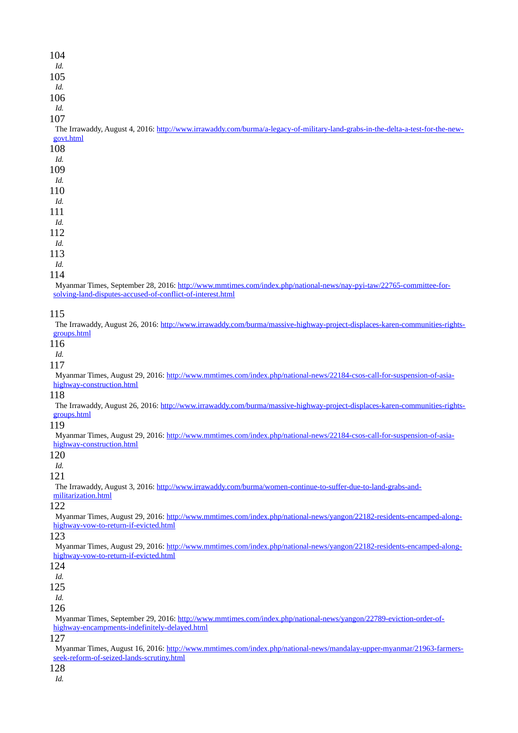| ×<br>۰, |  |
|---------|--|

*Id.* 

105

*Id.* 

106

*Id.* 

107

 The Irrawaddy, August 4, 2016: [http://www.irrawaddy.com/burma/a-legacy-of-military-land-grabs-in-the-delta-a-test-for-the-new](http://www.irrawaddy.com/burma/a-legacy-of-military-land-grabs-in-the-delta-a-test-for-the-new-govt.html)[govt.html](http://www.irrawaddy.com/burma/a-legacy-of-military-land-grabs-in-the-delta-a-test-for-the-new-govt.html)

108

- *Id.*
- 109 *Id.*
- 

110 *Id.*

111

*Id.*

112

*Id.*

113

*Id.*

114

 Myanmar Times, September 28, 2016: [http://www.mmtimes.com/index.php/national-news/nay-pyi-taw/22765-committee-for](http://www.mmtimes.com/index.php/national-news/nay-pyi-taw/22765-committee-for-solving-land-disputes-accused-of-conflict-of-interest.html)[solving-land-disputes-accused-of-conflict-of-interest.html](http://www.mmtimes.com/index.php/national-news/nay-pyi-taw/22765-committee-for-solving-land-disputes-accused-of-conflict-of-interest.html)

#### 115

 The Irrawaddy, August 26, 2016: [http://www.irrawaddy.com/burma/massive-highway-project-displaces-karen-communities-rights](http://www.irrawaddy.com/burma/massive-highway-project-displaces-karen-communities-rights-groups.html)[groups.html](http://www.irrawaddy.com/burma/massive-highway-project-displaces-karen-communities-rights-groups.html)

116

*Id.*

117

 Myanmar Times, August 29, 2016: [http://www.mmtimes.com/index.php/national-news/22184-csos-call-for-suspension-of-asia](http://www.mmtimes.com/index.php/national-news/22184-csos-call-for-suspension-of-asia-highway-construction.html)[highway-construction.html](http://www.mmtimes.com/index.php/national-news/22184-csos-call-for-suspension-of-asia-highway-construction.html)

#### 118

 The Irrawaddy, August 26, 2016: [http://www.irrawaddy.com/burma/massive-highway-project-displaces-karen-communities-rights](http://www.irrawaddy.com/burma/massive-highway-project-displaces-karen-communities-rights-groups.html)[groups.html](http://www.irrawaddy.com/burma/massive-highway-project-displaces-karen-communities-rights-groups.html)

#### 119

 Myanmar Times, August 29, 2016: [http://www.mmtimes.com/index.php/national-news/22184-csos-call-for-suspension-of-asia](http://www.mmtimes.com/index.php/national-news/22184-csos-call-for-suspension-of-asia-highway-construction.html)[highway-construction.html](http://www.mmtimes.com/index.php/national-news/22184-csos-call-for-suspension-of-asia-highway-construction.html)

120

*Id.*

121

 The Irrawaddy, August 3, 2016: [http://www.irrawaddy.com/burma/women-continue-to-suffer-due-to-land-grabs-and](http://www.irrawaddy.com/burma/women-continue-to-suffer-due-to-land-grabs-and-militarization.html)[militarization.html](http://www.irrawaddy.com/burma/women-continue-to-suffer-due-to-land-grabs-and-militarization.html)

#### 122

 Myanmar Times, August 29, 2016: [http://www.mmtimes.com/index.php/national-news/yangon/22182-residents-encamped-along](http://www.mmtimes.com/index.php/national-news/yangon/22182-residents-encamped-along-highway-vow-to-return-if-evicted.html)[highway-vow-to-return-if-evicted.html](http://www.mmtimes.com/index.php/national-news/yangon/22182-residents-encamped-along-highway-vow-to-return-if-evicted.html)

## 123

 Myanmar Times, August 29, 2016: [http://www.mmtimes.com/index.php/national-news/yangon/22182-residents-encamped-along](http://www.mmtimes.com/index.php/national-news/yangon/22182-residents-encamped-along-highway-vow-to-return-if-evicted.html)[highway-vow-to-return-if-evicted.html](http://www.mmtimes.com/index.php/national-news/yangon/22182-residents-encamped-along-highway-vow-to-return-if-evicted.html)

124

*Id.*

125

*Id.*

126

 Myanmar Times, September 29, 2016: [http://www.mmtimes.com/index.php/national-news/yangon/22789-eviction-order-of](http://www.mmtimes.com/index.php/national-news/yangon/22789-eviction-order-of-highway-encampments-indefinitely-delayed.html)[highway-encampments-indefinitely-delayed.html](http://www.mmtimes.com/index.php/national-news/yangon/22789-eviction-order-of-highway-encampments-indefinitely-delayed.html)

127

 Myanmar Times, August 16, 2016: [http://www.mmtimes.com/index.php/national-news/mandalay-upper-myanmar/21963-farmers](http://www.mmtimes.com/index.php/national-news/mandalay-upper-myanmar/21963-farmers-seek-reform-of-seized-lands-scrutiny.html)[seek-reform-of-seized-lands-scrutiny.html](http://www.mmtimes.com/index.php/national-news/mandalay-upper-myanmar/21963-farmers-seek-reform-of-seized-lands-scrutiny.html)

128

*Id.*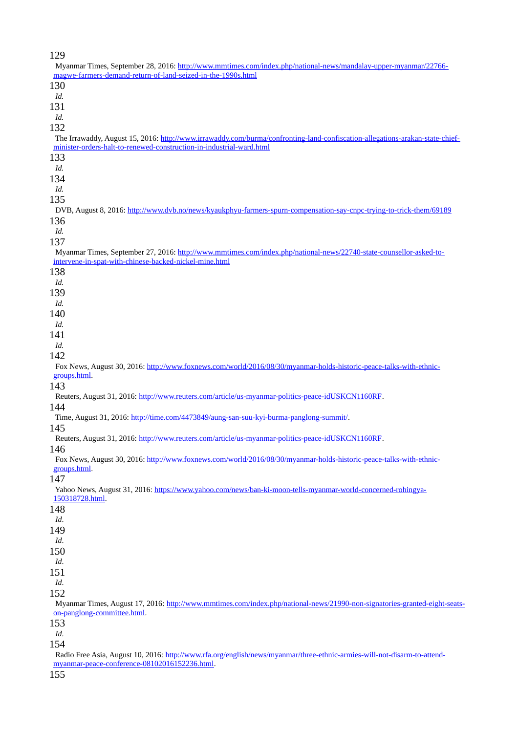$129$ 

| 129<br>Myanmar Times, September 28, 2016: http://www.mmtimes.com/index.php/national-news/mandalay-upper-myanmar/22766-                                                                               |
|------------------------------------------------------------------------------------------------------------------------------------------------------------------------------------------------------|
| magwe-farmers-demand-return-of-land-seized-in-the-1990s.html<br>130                                                                                                                                  |
| Id.                                                                                                                                                                                                  |
| 131                                                                                                                                                                                                  |
| Id.                                                                                                                                                                                                  |
| 132                                                                                                                                                                                                  |
| The Irrawaddy, August 15, 2016: http://www.irrawaddy.com/burma/confronting-land-confiscation-allegations-arakan-state-chief-<br>minister-orders-halt-to-renewed-construction-in-industrial-ward.html |
| 133                                                                                                                                                                                                  |
| Id.                                                                                                                                                                                                  |
| 134                                                                                                                                                                                                  |
| Id.                                                                                                                                                                                                  |
| 135                                                                                                                                                                                                  |
| DVB, August 8, 2016: http://www.dvb.no/news/kyaukphyu-farmers-spurn-compensation-say-cnpc-trying-to-trick-them/69189<br>136                                                                          |
| Id.                                                                                                                                                                                                  |
| 137                                                                                                                                                                                                  |
| Myanmar Times, September 27, 2016: http://www.mmtimes.com/index.php/national-news/22740-state-counsellor-asked-to-                                                                                   |
| intervene-in-spat-with-chinese-backed-nickel-mine.html                                                                                                                                               |
| 138<br>Id.                                                                                                                                                                                           |
| 139                                                                                                                                                                                                  |
| Id.                                                                                                                                                                                                  |
| 140                                                                                                                                                                                                  |
| Id.                                                                                                                                                                                                  |
| 141                                                                                                                                                                                                  |
| Id.<br>142                                                                                                                                                                                           |
| Fox News, August 30, 2016: http://www.foxnews.com/world/2016/08/30/myanmar-holds-historic-peace-talks-with-ethnic-                                                                                   |
| groups.html.                                                                                                                                                                                         |
| 143                                                                                                                                                                                                  |
| Reuters, August 31, 2016: http://www.reuters.com/article/us-myanmar-politics-peace-idUSKCN1160RF.                                                                                                    |
| 144                                                                                                                                                                                                  |
| Time, August 31, 2016: http://time.com/4473849/aung-san-suu-kyi-burma-panglong-summit/.<br>145                                                                                                       |
| Reuters, August 31, 2016: http://www.reuters.com/article/us-myanmar-politics-peace-idUSKCN1160RF.                                                                                                    |
| 146                                                                                                                                                                                                  |
| Fox News, August 30, 2016: http://www.foxnews.com/world/2016/08/30/myanmar-holds-historic-peace-talks-with-ethnic-<br>groups.html.                                                                   |
| 147<br>Yahoo News, August 31, 2016: https://www.yahoo.com/news/ban-ki-moon-tells-myanmar-world-concerned-rohingya-                                                                                   |
| 150318728.html.                                                                                                                                                                                      |
| 148                                                                                                                                                                                                  |
| Id.<br>149                                                                                                                                                                                           |
| Id.                                                                                                                                                                                                  |
| 150                                                                                                                                                                                                  |
| Id.                                                                                                                                                                                                  |
| 151                                                                                                                                                                                                  |
| Id.                                                                                                                                                                                                  |
| 152                                                                                                                                                                                                  |
| Myanmar Times, August 17, 2016: http://www.mmtimes.com/index.php/national-news/21990-non-signatories-granted-eight-seats-<br>on-panglong-committee.html.                                             |
| 153                                                                                                                                                                                                  |
| Id.                                                                                                                                                                                                  |
| 154                                                                                                                                                                                                  |
| Radio Free Asia, August 10, 2016: http://www.rfa.org/english/news/myanmar/three-ethnic-armies-will-not-disarm-to-attend-<br>myanmar-peace-conference-08102016152236.html.                            |
|                                                                                                                                                                                                      |

 $\frac{m}{155}$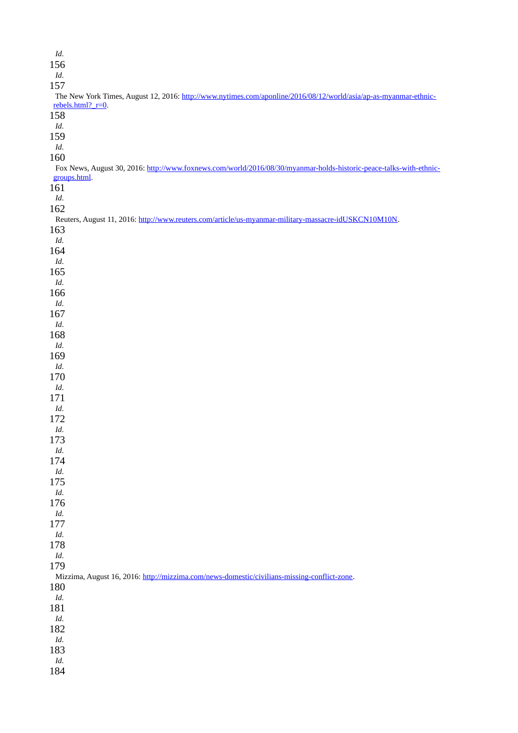| Id.                                                                                                                                   |
|---------------------------------------------------------------------------------------------------------------------------------------|
| 156                                                                                                                                   |
| Id.                                                                                                                                   |
| 157                                                                                                                                   |
| The New York Times, August 12, 2016: http://www.nytimes.com/aponline/2016/08/12/world/asia/ap-as-myanmar-ethnic-<br>rebels.html? r=0. |
| 158                                                                                                                                   |
| Id.                                                                                                                                   |
| 159                                                                                                                                   |
| Id.                                                                                                                                   |
| 160                                                                                                                                   |
| Fox News, August 30, 2016: http://www.foxnews.com/world/2016/08/30/myanmar-holds-historic-peace-talks-with-ethnic-                    |
| groups.html.                                                                                                                          |
| 161                                                                                                                                   |
| Id.                                                                                                                                   |
| 162                                                                                                                                   |
| Reuters, August 11, 2016: http://www.reuters.com/article/us-myanmar-military-massacre-idUSKCN10M10N.                                  |
| 163                                                                                                                                   |
| Id.<br>164                                                                                                                            |
| Id.                                                                                                                                   |
| 165                                                                                                                                   |
| Id.                                                                                                                                   |
| 166                                                                                                                                   |
| Id.                                                                                                                                   |
| 167                                                                                                                                   |
| Id.                                                                                                                                   |
| 168                                                                                                                                   |
| Id.                                                                                                                                   |
| 169                                                                                                                                   |
| Id.                                                                                                                                   |
| 170                                                                                                                                   |
| Id.                                                                                                                                   |
| 171                                                                                                                                   |
| Id.                                                                                                                                   |
| 172                                                                                                                                   |
| Id.                                                                                                                                   |
| 173<br>Id.                                                                                                                            |
| 174                                                                                                                                   |
| Id.                                                                                                                                   |
| 175                                                                                                                                   |
| Id.                                                                                                                                   |
| 176                                                                                                                                   |
| $\it{Id}.$                                                                                                                            |
| 177                                                                                                                                   |
| Id.                                                                                                                                   |
| 178                                                                                                                                   |
| $\it{Id}.$                                                                                                                            |
| 179                                                                                                                                   |
| Mizzima, August 16, 2016: http://mizzima.com/news-domestic/civilians-missing-conflict-zone.                                           |
| 180                                                                                                                                   |
| $\it{Id}.$                                                                                                                            |
| 181                                                                                                                                   |
| Id.<br>182                                                                                                                            |
| $\it{Id}.$                                                                                                                            |
| 183                                                                                                                                   |
| Id.                                                                                                                                   |
| 184                                                                                                                                   |